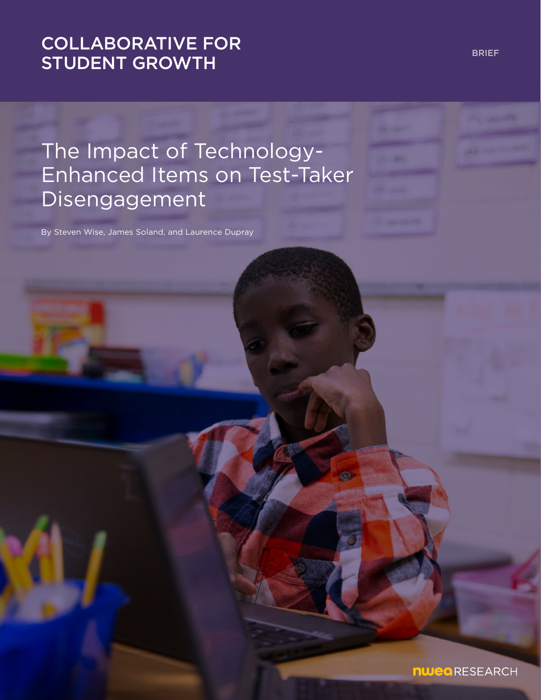# [COLLABORATIVE FOR](https://www.nwea.org/research/collaborative-for-student-growth/)  STUDENT GROWTH

The Impact of Technology-Enhanced Items on Test-Taker Disengagement

By Steven Wise, James Soland, and Laurence Dupray

BRIEF

**nwea** RESEARCH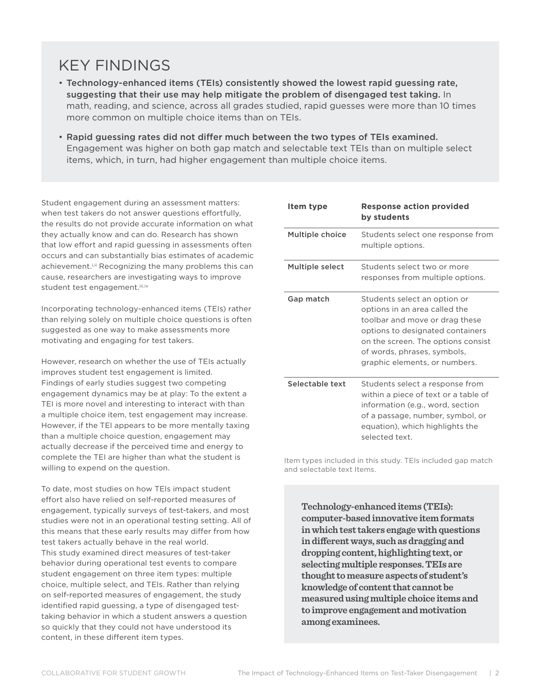# KEY FINDINGS

- Technology-enhanced items (TEIs) consistently showed the lowest rapid guessing rate, suggesting that their use may help mitigate the problem of disengaged test taking. In math, reading, and science, across all grades studied, rapid guesses were more than 10 times more common on multiple choice items than on TEIs.
- Rapid guessing rates did not differ much between the two types of TEIs examined. Engagement was higher on both gap match and selectable text TEIs than on multiple select items, which, in turn, had higher engagement than multiple choice items.

Student engagement during an assessment matters: when test takers do not answer questions effortfully, the results do not provide accurate information on what they actually know and can do. Research has shown that low effort and rapid guessing in assessments often occurs and can substantially bias estimates of academic achievement.<sup>i,ii</sup> Recognizing the many problems this can cause, researchers are investigating ways to improve student test engagement.iii,iv

Incorporating technology-enhanced items (TEIs) rather than relying solely on multiple choice questions is often suggested as one way to make assessments more motivating and engaging for test takers.

However, research on whether the use of TEIs actually improves student test engagement is limited. Findings of early studies suggest two competing engagement dynamics may be at play: To the extent a TEI is more novel and interesting to interact with than a multiple choice item, test engagement may increase. However, if the TEI appears to be more mentally taxing than a multiple choice question, engagement may actually decrease if the perceived time and energy to complete the TEI are higher than what the student is willing to expend on the question.

To date, most studies on how TEIs impact student effort also have relied on self-reported measures of engagement, typically surveys of test-takers, and most studies were not in an operational testing setting. All of this means that these early results may differ from how test takers actually behave in the real world. This study examined direct measures of test-taker behavior during operational test events to compare student engagement on three item types: multiple choice, multiple select, and TEIs. Rather than relying on self-reported measures of engagement, the study identified rapid guessing, a type of disengaged testtaking behavior in which a student answers a question so quickly that they could not have understood its content, in these different item types.

| Item type       | <b>Response action provided</b><br>by students                                                                                                                                                                                            |
|-----------------|-------------------------------------------------------------------------------------------------------------------------------------------------------------------------------------------------------------------------------------------|
| Multiple choice | Students select one response from<br>multiple options.                                                                                                                                                                                    |
| Multiple select | Students select two or more<br>responses from multiple options.                                                                                                                                                                           |
| Gap match       | Students select an option or<br>options in an area called the<br>toolbar and move or drag these<br>options to designated containers<br>on the screen. The options consist<br>of words, phrases, symbols,<br>graphic elements, or numbers. |
| Selectable text | Students select a response from<br>within a piece of text or a table of<br>information (e.g., word, section<br>of a passage, number, symbol, or<br>equation), which highlights the<br>selected text.                                      |

Item types included in this study. TEIs included gap match and selectable text Items.

**Technology-enhanced items (TEIs): computer-based innovative item formats in which test takers engage with questions in different ways, such as dragging and dropping content, highlighting text, or selecting multiple responses. TEIs are thought to measure aspects of student's knowledge of content that cannot be measured using multiple choice items and to improve engagement and motivation among examinees.**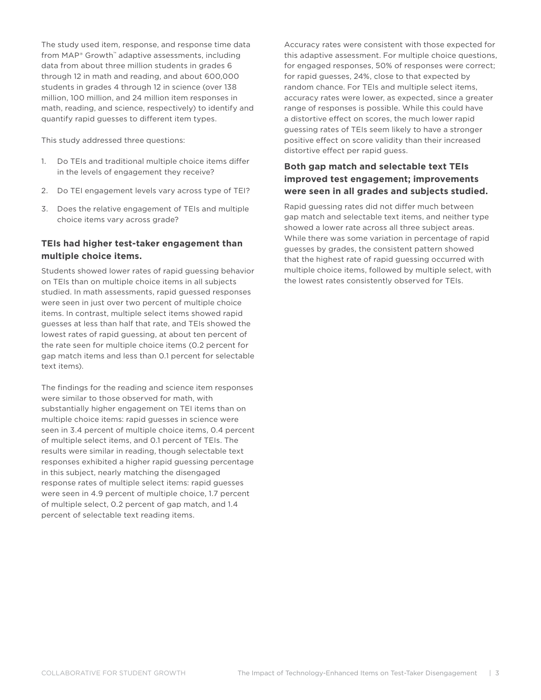The study used item, response, and response time data from MAP® Growth™ adaptive assessments, including data from about three million students in grades 6 through 12 in math and reading, and about 600,000 students in grades 4 through 12 in science (over 138 million, 100 million, and 24 million item responses in math, reading, and science, respectively) to identify and quantify rapid guesses to different item types.

This study addressed three questions:

- 1. Do TEIs and traditional multiple choice items differ in the levels of engagement they receive?
- 2. Do TEI engagement levels vary across type of TEI?
- 3. Does the relative engagement of TEIs and multiple choice items vary across grade?

### **TEIs had higher test-taker engagement than multiple choice items.**

Students showed lower rates of rapid guessing behavior on TEIs than on multiple choice items in all subjects studied. In math assessments, rapid guessed responses were seen in just over two percent of multiple choice items. In contrast, multiple select items showed rapid guesses at less than half that rate, and TEIs showed the lowest rates of rapid guessing, at about ten percent of the rate seen for multiple choice items (0.2 percent for gap match items and less than 0.1 percent for selectable text items).

The findings for the reading and science item responses were similar to those observed for math, with substantially higher engagement on TEI items than on multiple choice items: rapid guesses in science were seen in 3.4 percent of multiple choice items, 0.4 percent of multiple select items, and 0.1 percent of TEIs. The results were similar in reading, though selectable text responses exhibited a higher rapid guessing percentage in this subject, nearly matching the disengaged response rates of multiple select items: rapid guesses were seen in 4.9 percent of multiple choice, 1.7 percent of multiple select, 0.2 percent of gap match, and 1.4 percent of selectable text reading items.

Accuracy rates were consistent with those expected for this adaptive assessment. For multiple choice questions, for engaged responses, 50% of responses were correct; for rapid guesses, 24%, close to that expected by random chance. For TEIs and multiple select items, accuracy rates were lower, as expected, since a greater range of responses is possible. While this could have a distortive effect on scores, the much lower rapid guessing rates of TEIs seem likely to have a stronger positive effect on score validity than their increased distortive effect per rapid guess.

### **Both gap match and selectable text TEIs improved test engagement; improvements were seen in all grades and subjects studied.**

Rapid guessing rates did not differ much between gap match and selectable text items, and neither type showed a lower rate across all three subject areas. While there was some variation in percentage of rapid guesses by grades, the consistent pattern showed that the highest rate of rapid guessing occurred with multiple choice items, followed by multiple select, with the lowest rates consistently observed for TEIs.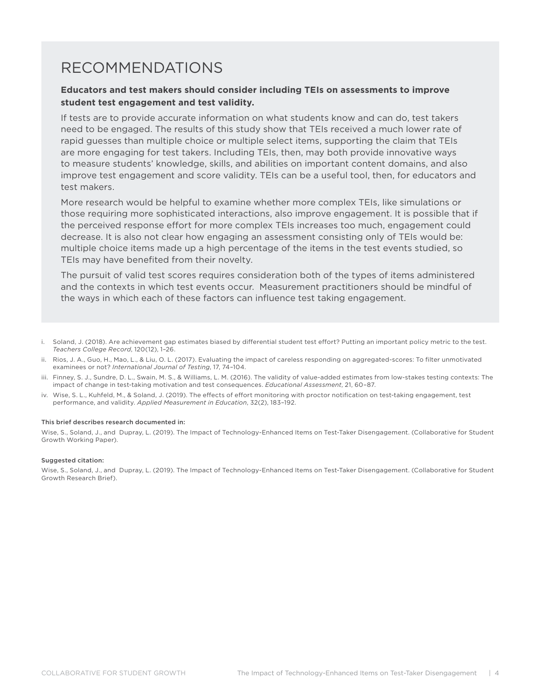## RECOMMENDATIONS

#### **Educators and test makers should consider including TEIs on assessments to improve student test engagement and test validity.**

If tests are to provide accurate information on what students know and can do, test takers need to be engaged. The results of this study show that TEIs received a much lower rate of rapid guesses than multiple choice or multiple select items, supporting the claim that TEIs are more engaging for test takers. Including TEIs, then, may both provide innovative ways to measure students' knowledge, skills, and abilities on important content domains, and also improve test engagement and score validity. TEIs can be a useful tool, then, for educators and test makers.

More research would be helpful to examine whether more complex TEIs, like simulations or those requiring more sophisticated interactions, also improve engagement. It is possible that if the perceived response effort for more complex TEIs increases too much, engagement could decrease. It is also not clear how engaging an assessment consisting only of TEIs would be: multiple choice items made up a high percentage of the items in the test events studied, so TEIs may have benefited from their novelty.

The pursuit of valid test scores requires consideration both of the types of items administered and the contexts in which test events occur. Measurement practitioners should be mindful of the ways in which each of these factors can influence test taking engagement.

- i. Soland, J. (2018). Are achievement gap estimates biased by differential student test effort? Putting an important policy metric to the test. *Teachers College Record*, 120(12), 1–26.
- ii. Rios, J. A., Guo, H., Mao, L., & Liu, O. L. (2017). Evaluating the impact of careless responding on aggregated-scores: To filter unmotivated examinees or not? *International Journal of Testing*, 17, 74–104.
- iii. Finney, S. J., Sundre, D. L., Swain, M. S., & Williams, L. M. (2016). The validity of value-added estimates from low-stakes testing contexts: The impact of change in test-taking motivation and test consequences. *Educational Assessment*, 21, 60–87.
- iv. Wise, S. L., Kuhfeld, M., & Soland, J. (2019). The effects of effort monitoring with proctor notification on test-taking engagement, test performance, and validity. *Applied Measurement in Education*, 32(2), 183–192.

#### This brief describes research documented in:

Wise, S., Soland, J., and Dupray, L. (2019). The Impact of Technology-Enhanced Items on Test-Taker Disengagement. (Collaborative for Student Growth Working Paper).

#### Suggested citation:

Wise, S., Soland, J., and Dupray, L. (2019). The Impact of Technology-Enhanced Items on Test-Taker Disengagement. (Collaborative for Student Growth Research Brief).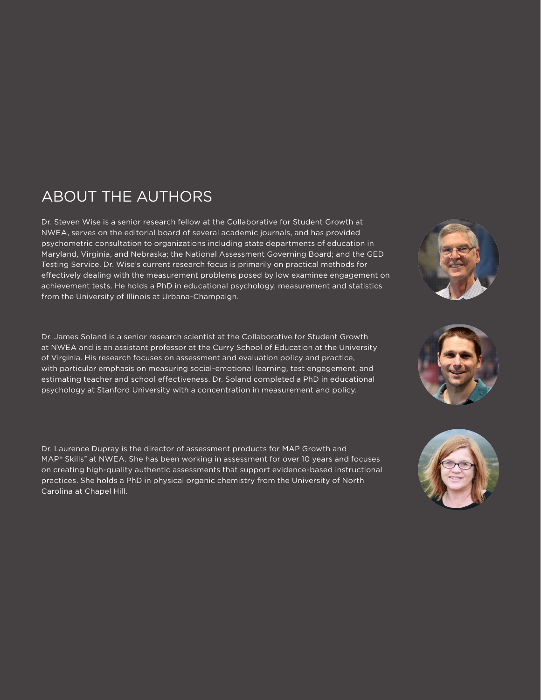# ABOUT THE AUTHORS

Dr. Steven Wise is a senior research fellow at the Collaborative for Student Growth at NWEA, serves on the editorial board of several academic journals, and has provided psychometric consultation to organizations including state departments of education in Maryland, Virginia, and Nebraska; the National Assessment Governing Board; and the GED Testing Service. Dr. Wise's current research focus is primarily on practical methods for effectively dealing with the measurement problems posed by low examinee engagement on achievement tests. He holds a PhD in educational psychology, measurement and statistics from the University of Illinois at Urbana-Champaign.

Dr. James Soland is a senior research scientist at the Collaborative for Student Growth at NWEA and is an assistant professor at the Curry School of Education at the University of Virginia. His research focuses on assessment and evaluation policy and practice, with particular emphasis on measuring social-emotional learning, test engagement, and estimating teacher and school effectiveness. Dr. Soland completed a PhD in educational psychology at Stanford University with a concentration in measurement and policy.

Dr. Laurence Dupray is the director of assessment products for MAP Growth and MAP® Skills™ at NWEA. She has been working in assessment for over 10 years and focuses on creating high-quality authentic assessments that support evidence-based instructional practices. She holds a PhD in physical organic chemistry from the University of North Carolina at Chapel Hill.